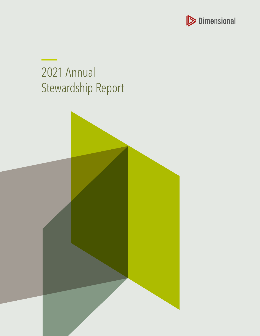

# 2021 Annual Stewardship Report

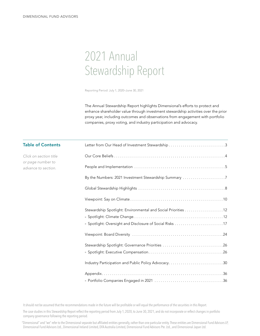# 2021 Annual Stewardship Report

Reporting Period: July 1, 2020–June 30, 2021

The Annual Stewardship Report highlights Dimensional's efforts to protect and enhance shareholder value through investment stewardship activities over the prior proxy year, including outcomes and observations from engagement with portfolio companies, proxy voting, and industry participation and advocacy.

| <b>Table of Contents</b>                 |                                                               |
|------------------------------------------|---------------------------------------------------------------|
| Click on section title                   |                                                               |
| or page number to<br>advance to section. |                                                               |
|                                          | By the Numbers: 2021 Investment Stewardship Summary 7         |
|                                          |                                                               |
|                                          |                                                               |
|                                          | Stewardship Spotlight: Environmental and Social Priorities 12 |
|                                          |                                                               |
|                                          |                                                               |
|                                          |                                                               |
|                                          | Stewardship Spotlight: Governance Priorities 26               |
|                                          |                                                               |
|                                          | Industry Participation and Public Policy Advocacy30           |
|                                          |                                                               |
|                                          |                                                               |
|                                          |                                                               |

It should not be assumed that the recommendations made in the future will be profitable or will equal the performance of the securities in this Report.

The case studies in this Stewardship Report reflect the reporting period from July 1, 2020, to June 30, 2021, and do not incorporate or reflect changes in portfolio company governance following the reporting period.

"Dimensional" and "we" refer to the Dimensional separate but affiliated entities generally, rather than one particular entity. These entities are Dimensional Fund Advisors LP, Dimensional Fund Advisors Ltd., Dimensional Ireland Limited, DFA Australia Limited, Dimensional Fund Advisors Pte. Ltd., and Dimensional Japan Ltd.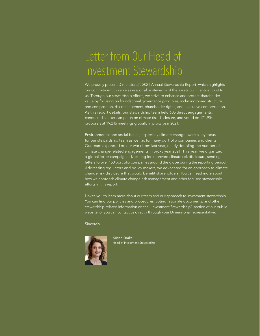# <span id="page-2-0"></span>Letter from 0ur Head of Investment Stewardship

We proudly present Dimensional's 2021 Annual Stewardship Report, which highlights our commitment to serve as responsible stewards of the assets our clients entrust to us. Through our stewardship efforts, we strive to enhance and protect shareholder value by focusing on foundational governance principles, including board structure and composition, risk management, shareholder rights, and executive compensation. As this report details, our stewardship team held 605 direct engagements, conducted a letter campaign on climate risk disclosure, and voted on 171,904 proposals at 19,246 meetings globally in proxy year 2021.

Environmental and social issues, especially climate change, were a key focus for our stewardship team as well as for many portfolio companies and clients. Our team expanded on our work from last year, nearly doubling the number of climate change-related engagements in proxy year 2021. This year, we organized a global letter campaign advocating for improved climate risk disclosure, sending letters to over 150 portfolio companies around the globe during the reporting period. Addressing regulators and policy makers, we advocated for an approach to climate change risk disclosure that would benefit shareholders. You can read more about how we approach climate change risk management and other focused stewardship efforts in this report.

I invite you to learn more about our team and our approach to investment stewardship. You can find our policies and procedures, voting rationale documents, and other stewardship-related information on the "Investment Stewardship" section of our public website, or you can contact us directly through your Dimensional representative.

Sincerely,



Kristin Drake Head of Investment Stewardship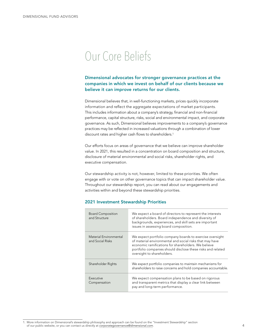# <span id="page-3-0"></span>Our Core Beliefs

### Dimensional advocates for stronger governance practices at the companies in which we invest on behalf of our clients because we believe it can improve returns for our clients.

Dimensional believes that, in well-functioning markets, prices quickly incorporate information and reflect the aggregate expectations of market participants. This includes information about a company's strategy, financial and non-financial performance, capital structure, risks, social and environmental impact, and corporate governance. As such, Dimensional believes improvements to a company's governance practices may be reflected in increased valuations through a combination of lower discount rates and higher cash flows to shareholders.<sup>1</sup>

Our efforts focus on areas of governance that we believe can improve shareholder value. In 2021, this resulted in a concentration on board composition and structure, disclosure of material environmental and social risks, shareholder rights, and executive compensation.

Our stewardship activity is not, however, limited to these priorities. We often engage with or vote on other governance topics that can impact shareholder value. Throughout our stewardship report, you can read about our engagements and activities within and beyond these stewardship priorities.

### 2021 Investment Stewardship Priorities

| <b>Board Composition</b><br>and Structure  | We expect a board of directors to represent the interests<br>of shareholders. Board independence and diversity of<br>backgrounds, experiences, and skill sets are important<br>issues in assessing board composition.                                                    |
|--------------------------------------------|--------------------------------------------------------------------------------------------------------------------------------------------------------------------------------------------------------------------------------------------------------------------------|
| Material Environmental<br>and Social Risks | We expect portfolio company boards to exercise oversight<br>of material environmental and social risks that may have<br>economic ramifications for shareholders. We believe<br>portfolio companies should disclose these risks and related<br>oversight to shareholders. |
| Shareholder Rights                         | We expect portfolio companies to maintain mechanisms for<br>shareholders to raise concerns and hold companies accountable.                                                                                                                                               |
| Executive<br>Compensation                  | We expect compensation plans to be based on rigorous<br>and transparent metrics that display a clear link between<br>pay and long-term performance.                                                                                                                      |

<sup>1.</sup> More information on Dimensional's stewardship philosophy and approach can be found on the "Investment Stewardship" section of our public website, or you can contact us directly at *[corporategovernance@dimensional.com](mailto:corporategovernance%40dimensional.com?subject=)*.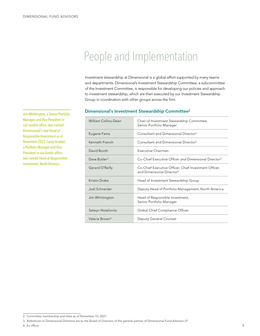# <span id="page-4-0"></span>People and Implementation

Investment stewardship at Dimensional is a global effort supported by many teams and departments. Dimensional's Investment Stewardship Committee, a subcommittee of the Investment Committee, is responsible for developing our policies and approach to investment stewardship, which are then executed by our Investment Stewardship Group in coordination with other groups across the firm.

#### Dimensional's Investment Stewardship Committee2

| William Collins-Dean       | Chair of Investment Stewardship Committee,<br>Senior Portfolio Manager                         |
|----------------------------|------------------------------------------------------------------------------------------------|
| Eugene Fama                | Consultant and Dimensional Director <sup>3</sup>                                               |
| Kenneth French             | Consultant and Dimensional Director <sup>3</sup>                                               |
| David Booth                | Executive Chairman                                                                             |
| Dave Butler <sup>4</sup>   | Co-Chief Executive Officer and Dimensional Director <sup>3</sup>                               |
| Gerard O'Reilly            | Co-Chief Executive Officer, Chief Investment Officer,<br>and Dimensional Director <sup>3</sup> |
| Kristin Drake              | Head of Investment Stewardship Group                                                           |
| Joel Schneider             | Deputy Head of Portfolio Management, North America                                             |
| Jim Whittington            | Head of Responsible Investment,<br>Senior Portfolio Manager                                    |
| Selwyn Notelovitz          | Global Chief Compliance Officer                                                                |
| Valerie Brown <sup>4</sup> | Deputy General Counsel                                                                         |

Jim Whittington, a Senior Portfolio Manager and Vice President in our London office, was named Dimensional's new Head of Responsible Investment as of November 2021. Lacey Huebel, a Portfolio Manager and Vice President in our Austin office, was named Head of Responsible Investment, North America.

<sup>2.</sup> Committee membership and titles as of November 10, 2021.

<sup>3.</sup> References to Dimensional Directors are to the Board of Directors of the general partner of Dimensional Fund Advisors LP.

<sup>4.</sup> Ex officio.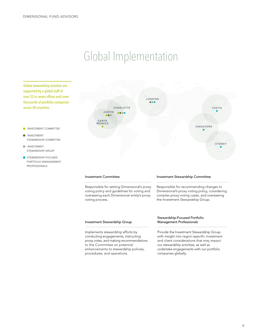# Global Implementation

Global stewardship activities are supported by a global staff of over 25 in seven offices and cover thousands of portfolio companies across 40 countries.

- INVESTMENT COMMITTEE
- **INVESTMENT** STEWARDSHIP COMMITTEE
- **INVESTMENT** STEWARDSHIP GROUP
- STEWARDSHIP-FOCUSED PORTFOLIO MANAGEMENT PROFESSIONALS



#### Investment Committee

Responsible for setting Dimensional's proxy voting policy and guidelines for voting and overseeing each Dimensional entity's proxy voting process.

#### Investment Stewardship Group

Implements stewardship efforts by conducting engagements, instructing proxy votes, and making recommendations to the Committee on potential enhancements to stewardship policies, procedures, and operations.

#### Investment Stewardship Committee

Responsible for recommending changes to Dimensional's proxy voting policy, considering complex proxy voting cases, and overseeing the Investment Stewardship Group.

#### Stewardship-Focused Portfolio Management Professionals

Provide the Investment Stewardship Group with insight into region-specific investment and client considerations that may impact our stewardship activities, as well as undertake engagements with our portfolio companies globally.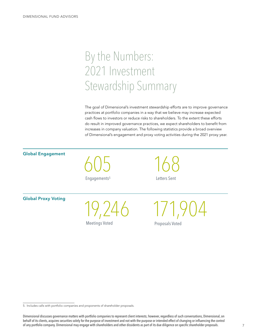# <span id="page-6-0"></span>By the Numbers: 2021 Investment Stewardship Summary

The goal of Dimensional's investment stewardship efforts are to improve governance practices at portfolio companies in a way that we believe may increase expected cash flows to investors or reduce risks to shareholders. To the extent these efforts do result in improved governance practices, we expect shareholders to benefit from increases in company valuation. The following statistics provide a broad overview of Dimensional's engagement and proxy voting activities during the 2021 proxy year.

605 Engagements5 19,246 Meetings Voted 168 Letters Sent 171,904 Proposals Voted Global Engagement Global Proxy Voting

<sup>5.</sup> Includes calls with portfolio companies and proponents of shareholder proposals.

Dimensional discusses governance matters with portfolio companies to represent client interests; however, regardless of such conversations, Dimensional, on behalf of its clients, acquires securities solely for the purpose of investment and not with the purpose or intended effect of changing or influencing the control of any portfolio company. Dimensional may engage with shareholders and other dissidents as part of its due diligence on specific shareholder proposals.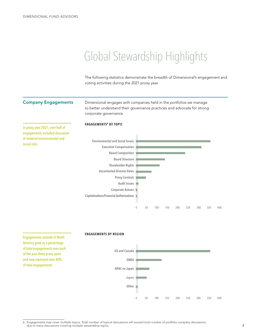# <span id="page-7-0"></span>Global Stewardship Highlights

The following statistics demonstrate the breadth of Dimensional's engagement and voting activities during the 2021 proxy year.

#### Company Engagements

Dimensional engages with companies held in the portfolios we manage to better understand their governance practices and advocate for strong corporate governance.

#### ENGAGEMENTS6 BY TOPIC

In proxy year 2021, over half of engagements included discussion of material environmental and social risks.



Engagements outside of North America grew as a percentage of total engagements over each of the past three proxy years and now represent over 40% of total engagements.

#### ENGAGEMENTS BY REGION



<sup>6.</sup> Engagements may cover multiple topics. Total number of topical discussions will exceed total number of portfolio company discussions due to many discussions covering multiple stewardship topics.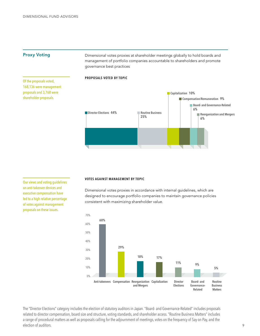### Proxy Voting

Of the proposals voted, 168,136 were management proposals and 3,768 were shareholder proposals.

Dimensional votes proxies at shareholder meetings globally to hold boards and management of portfolio companies accountable to shareholders and promote governance best practices

#### PROPOSALS VOTED BY TOPIC



Our views and voting guidelines on anti-takeover devices and executive compensation have led to a high relative percentage of votes against management proposals on these issues.

#### VOTES AGAINST MANAGEMENT BY TOPIC

Dimensional votes proxies in accordance with internal guidelines, which are designed to encourage portfolio companies to maintain governance policies consistent with maximizing shareholder value.



The "Director Elections" category includes the election of statutory auditors in Japan. "Board- and Governance-Related" includes proposals related to director compensation, board size and structure, voting standards, and shareholder access. "Routine Business Matters" includes a range of procedural matters as well as proposals calling for the adjournment of meetings, votes on the frequency of Say on Pay, and the election of auditors.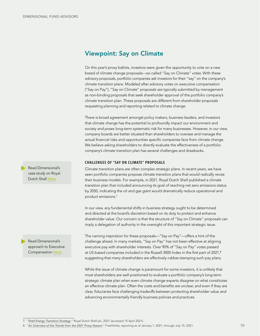# <span id="page-9-0"></span>Viewpoint: Say on Climate

On this year's proxy ballots, investors were given the opportunity to vote on a new breed of climate change proposals—so-called "Say on Climate" votes. With these advisory proposals, portfolio companies ask investors for their "say" on the company's climate transition plans. Modeled after advisory votes on executive compensation ("Say on Pay"), "Say on Climate" proposals are typically submitted by management as non-binding proposals that seek shareholder approval of the portfolio company's climate transition plan. These proposals are different from shareholder proposals requesting planning and reporting related to climate change.

There is broad agreement amongst policy makers, business leaders, and investors that climate change has the potential to profoundly impact our environment and society and poses long-term systematic risk for many businesses. However, in our view, company boards are better situated than shareholders to oversee and manage the actual financial risks and opportunities specific companies face from climate change. We believe asking shareholders to directly evaluate the effectiveness of a portfolio company's climate transition plan has several challenges and drawbacks.

#### CHALLENGES OF "SAY ON CLIMATE" PROPOSALS

Climate transition plans are often complex strategic plans. In recent years, we have seen portfolio companies propose climate transition plans that would radically revise their business models. For example, in 2021, Royal Dutch Shell published a climate transition plan that included announcing its goal of reaching net zero emissions status by 2050, indicating the oil and gas giant would dramatically reduce operational and product emissions.7

In our view, any fundamental shifts in business strategy ought to be determined and directed at the board's discretion based on its duty to protect and enhance shareholder value. Our concern is that the structure of "Say on Climate" proposals can imply a delegation of authority in the oversight of this important strategic issue.

The naming inspiration for these proposals—"Say on Pay"—offers a hint of the challenge ahead. In many markets, "Say on Pay" has not been effective at aligning executive pay with shareholder interests. Over 90% of "Say on Pay" votes passed at US-based companies included in the Russell 3000 Index in the first part of 2021,<sup>8</sup> suggesting that many shareholders are effectively rubber-stamping such pay plans.

While the issue of climate change is paramount for some investors, it is unlikely that most shareholders are well-positioned to evaluate a portfolio company's long-term strategic climate plan when even climate change experts disagree on what constitutes an effective climate plan. Often the costs and benefits are unclear, and even if they are clear, fiduciaries face challenging tradeoffs between protecting shareholder value and advancing environmentally friendly business policies and practices. Read Dimensional's<br> **Climate transition plane are offered comparise propose climate transition plane start<br>
Dutch Shell <u>here</u>.<br>
Dutch Shell <u>the season</u> portion compare is proposed from the included announcing its goal of** 

case study on Royal Dutch Shell *[here](#page-13-0)*.

Read Dimensional's approach to Executive Compensation *[here](#page-25-0)*.

<sup>7.</sup> "*[Shell Energy Transition Strategy](https://www.shell.com/energy-and-innovation/the-energy-future/shell-energy-transition-strategy.html)*," Royal Dutch Shell plc, 2021 (accessed 15 April 2021).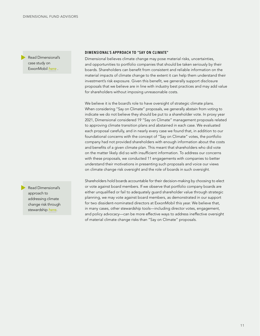Read Dimensional's case study on ExxonMobil *[here](#page-15-0)* .

DIMENSIONAL'S APPROACH TO "SAY ON CLIMATE"

Dimensional believes climate change may pose material risks, uncertainties, and opportunities to portfolio companies that should be taken seriously by their boards. Shareholders can benefit from consistent and reliable information on the material impacts of climate change to the extent it can help them understand their investment's risk exposure. Given this benefit, we generally support disclosure proposals that we believe are in line with industry best practices and may add value for shareholders without imposing unreasonable costs.

We believe it is the board's role to have oversight of strategic climate plans. When considering "Say on Climate" proposals, we generally abstain from voting to indicate we do not believe they should be put to a shareholder vote. In proxy year 2021, Dimensional considered 19 "Say on Climate" management proposals related to approving climate transition plans and abstained in each case. We evaluated each proposal carefully, and in nearly every case we found that, in addition to our foundational concerns with the concept of "Say on Climate" votes, the portfolio company had not provided shareholders with enough information about the costs and benefits of a given climate plan. This meant that shareholders who did vote on the matter likely did so with insufficient information. To address our concerns with these proposals, we conducted 11 engagements with companies to better understand their motivations in presenting such proposals and voice our views on climate change risk oversight and the role of boards in such oversight.

Shareholders hold boards accountable for their decision-making by choosing to elect or vote against board members. If we observe that portfolio company boards are either unqualified or fail to adequately guard shareholder value through strategic planning, we may vote against board members, as demonstrated in our support for two dissident-nominated directors at ExxonMobil this year. We believe that, in many cases, other stewardship tools—including director votes, engagement, and policy advocacy—can be more effective ways to address ineffective oversight of material climate change risks than "Say on Climate" proposals.

Read Dimensional's approach to addressing climate change risk through stewardship *[here](#page-11-0)*.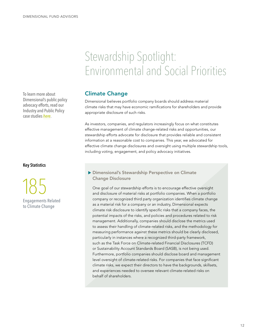# Stewardship Spotlight: Environmental and Social Priorities

### Climate Change

Dimensional believes portfolio company boards should address material climate risks that may have economic ramifications for shareholders and provide appropriate disclosure of such risks.

As investors, companies, and regulators increasingly focus on what constitutes effective management of climate change-related risks and opportunities, our stewardship efforts advocate for disclosure that provides reliable and consistent information at a reasonable cost to companies. This year, we advocated for effective climate change disclosures and oversight using multiple stewardship tools, including voting, engagement, and policy advocacy initiatives.

### Dimensional's Stewardship Perspective on Climate Change Disclosure

One goal of our stewardship efforts is to encourage effective oversight and disclosure of material risks at portfolio companies. When a portfolio company or recognized third party organization identifies climate change as a material risk for a company or an industry, Dimensional expects climate risk disclosure to identify specific risks that a company faces, the potential impacts of the risks, and policies and procedures related to risk management. Additionally, companies should disclose the metrics used to assess their handling of climate-related risks, and the methodology for measuring performance against these metrics should be clearly disclosed, particularly in instances where a recognized third-party framework, such as the Task Force on Climate-related Financial Disclosures (TCFD) or Sustainability Account Standards Board (SASB), is not being used. Furthermore, portfolio companies should disclose board and management level oversight of climate-related risks. For companies that face significant climate risks, we expect their directors to have the backgrounds, skillsets, and experiences needed to oversee relevant climate-related risks on behalf of shareholders.

<span id="page-11-0"></span>To learn more about Dimensional's public policy advocacy efforts, read our Industry and Public Policy case studies *[here](#page-29-0)*.

### Key Statistics



Engagements Related to Climate Change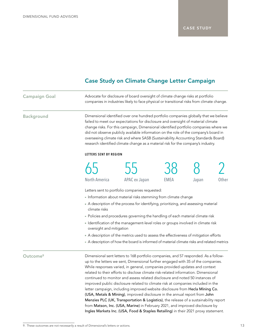## Case Study on Climate Change Letter Campaign

| <b>Campaign Goal</b> |                                                                                                                                                                                                                                                                                                                                                                                                                                                                                                                                     | Advocate for disclosure of board oversight of climate change risks at portfolio<br>companies in industries likely to face physical or transitional risks from climate change.                                                                                                                                                                                                                                                                                                                                                                                   |             |       |       |
|----------------------|-------------------------------------------------------------------------------------------------------------------------------------------------------------------------------------------------------------------------------------------------------------------------------------------------------------------------------------------------------------------------------------------------------------------------------------------------------------------------------------------------------------------------------------|-----------------------------------------------------------------------------------------------------------------------------------------------------------------------------------------------------------------------------------------------------------------------------------------------------------------------------------------------------------------------------------------------------------------------------------------------------------------------------------------------------------------------------------------------------------------|-------------|-------|-------|
| <b>Background</b>    | Dimensional identified over one hundred portfolio companies globally that we believe<br>failed to meet our expectations for disclosure and oversight of material climate<br>change risks. For this campaign, Dimensional identified portfolio companies where we<br>did not observe publicly available information on the role of the company's board in<br>overseeing climate risk and where SASB (Sustainability Accounting Standards Board)<br>research identified climate change as a material risk for the company's industry. |                                                                                                                                                                                                                                                                                                                                                                                                                                                                                                                                                                 |             |       |       |
|                      | LETTERS SENT BY REGION                                                                                                                                                                                                                                                                                                                                                                                                                                                                                                              |                                                                                                                                                                                                                                                                                                                                                                                                                                                                                                                                                                 |             |       |       |
|                      |                                                                                                                                                                                                                                                                                                                                                                                                                                                                                                                                     |                                                                                                                                                                                                                                                                                                                                                                                                                                                                                                                                                                 |             |       |       |
|                      | <b>North America</b>                                                                                                                                                                                                                                                                                                                                                                                                                                                                                                                | <b>APAC</b> ex Japan                                                                                                                                                                                                                                                                                                                                                                                                                                                                                                                                            | <b>EMEA</b> | Japan | Other |
|                      | climate risks<br>oversight and mitigation                                                                                                                                                                                                                                                                                                                                                                                                                                                                                           | Letters sent to portfolio companies requested:<br>Information about material risks stemming from climate change<br>A description of the process for identifying, prioritizing, and assessing material<br>• Policies and procedures governing the handling of each material climate risk<br>" Identification of the management-level roles or groups involved in climate risk<br>A description of the metrics used to assess the effectiveness of mitigation efforts<br>A description of how the board is informed of material climate risks and related metrics |             |       |       |
| Outcome <sup>9</sup> | Dimensional sent letters to 168 portfolio companies, and 57 responded. As a follow-<br>up to the letters we sent, Dimensional further engaged with 35 of the companies.<br>While responses varied, in general, companies provided updates and context<br>related to their efforts to disclose climate risk-related information. Dimensional                                                                                                                                                                                         |                                                                                                                                                                                                                                                                                                                                                                                                                                                                                                                                                                 |             |       |       |

continued to monitor and assess related disclosure and noted 50 instances of improved public disclosure related to climate risk at companies included in the letter campaign, including improved website disclosure from Hecla Mining Co. (USA, Metals & Mining), improved disclosure in the annual report from John Menzies PLC (UK, Transportation & Logistics), the release of a sustainability report from Matson, Inc. (USA, Marine) in February 2021, and improved disclosure by Ingles Markets Inc. (USA, Food & Staples Retailing) in their 2021 proxy statement.

<sup>9.</sup> These outcomes are not necessarily a result of Dimensional's letters or actions.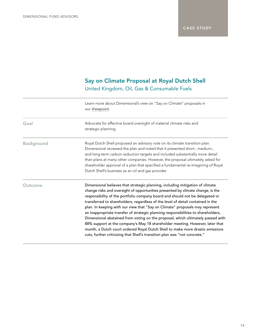# Say on Climate Proposal at Royal Dutch Shell United Kingdom, Oil, Gas & Consumable Fuels

<span id="page-13-0"></span>

|                   | Learn more about Dimensional's view on "Say on Climate" proposals in<br>our Viewpoint.                                                                                                                                                                                                                                                                                                                                                                                                                                                                                                                                                                                                                                                                                                                                                     |
|-------------------|--------------------------------------------------------------------------------------------------------------------------------------------------------------------------------------------------------------------------------------------------------------------------------------------------------------------------------------------------------------------------------------------------------------------------------------------------------------------------------------------------------------------------------------------------------------------------------------------------------------------------------------------------------------------------------------------------------------------------------------------------------------------------------------------------------------------------------------------|
| Goal              | Advocate for effective board oversight of material climate risks and<br>strategic planning.                                                                                                                                                                                                                                                                                                                                                                                                                                                                                                                                                                                                                                                                                                                                                |
| <b>Background</b> | Royal Dutch Shell proposed an advisory vote on its climate transition plan.<br>Dimensional reviewed the plan and noted that it presented short-, medium-,<br>and long-term carbon reduction targets and included substantially more detail<br>than plans at many other companies. However, the proposal ultimately asked for<br>shareholder approval of a plan that specified a fundamental re-imagining of Royal<br>Dutch Shell's business as an oil and gas provider.                                                                                                                                                                                                                                                                                                                                                                    |
| Outcome           | Dimensional believes that strategic planning, including mitigation of climate<br>change risks and oversight of opportunities presented by climate change, is the<br>responsibility of the portfolio company board and should not be delegated or<br>transferred to shareholders, regardless of the level of detail contained in the<br>plan. In keeping with our view that "Say on Climate" proposals may represent<br>an inappropriate transfer of strategic planning responsibilities to shareholders,<br>Dimensional abstained from voting on the proposal, which ultimately passed with<br>88% support at the company's May 18 shareholder meeting. However, later that<br>month, a Dutch court ordered Royal Dutch Shell to make more drastic emissions<br>cuts, further criticizing that Shell's transition plan was "not concrete." |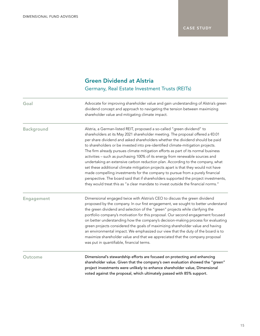# Green Dividend at Alstria Germany, Real Estate Investment Trusts (REITs)

| Goal              | Advocate for improving shareholder value and gain understanding of Alstria's green<br>dividend concept and approach to navigating the tension between maximizing<br>shareholder value and mitigating climate impact.                                                                                                                                                                                                                                                                                                                                                                                                                                                                                                                                                                                                                                                                                                                      |
|-------------------|-------------------------------------------------------------------------------------------------------------------------------------------------------------------------------------------------------------------------------------------------------------------------------------------------------------------------------------------------------------------------------------------------------------------------------------------------------------------------------------------------------------------------------------------------------------------------------------------------------------------------------------------------------------------------------------------------------------------------------------------------------------------------------------------------------------------------------------------------------------------------------------------------------------------------------------------|
| <b>Background</b> | Alstria, a German-listed REIT, proposed a so-called "green dividend" to<br>shareholders at its May 2021 shareholder meeting. The proposal offered a €0.01<br>per share dividend and asked shareholders whether the dividend should be paid<br>to shareholders or be invested into pre-identified climate-mitigation projects.<br>The firm already pursues climate mitigation efforts as part of its normal business<br>activities - such as purchasing 100% of its energy from renewable sources and<br>undertaking an extensive carbon reduction plan. According to the company, what<br>set these additional climate mitigation projects apart is that they would not have<br>made compelling investments for the company to pursue from a purely financial<br>perspective. The board said that if shareholders supported the project investments,<br>they would treat this as "a clear mandate to invest outside the financial norms." |
| <b>Engagement</b> | Dimensional engaged twice with Alstria's CEO to discuss the green dividend<br>proposed by the company. In our first engagement, we sought to better understand<br>the green dividend and selection of the "green" projects while clarifying the<br>portfolio company's motivation for this proposal. Our second engagement focused<br>on better understanding how the company's decision-making process for evaluating<br>green projects considered the goals of maximizing shareholder value and having<br>an environmental impact. We emphasized our view that the duty of the board is to<br>maximize shareholder value and that we appreciated that the company proposal<br>was put in quantifiable, financial terms.                                                                                                                                                                                                                 |
| Outcome           | Dimensional's stewardship efforts are focused on protecting and enhancing<br>shareholder value. Given that the company's own evaluation showed the "green"<br>project investments were unlikely to enhance shareholder value, Dimensional<br>voted against the proposal, which ultimately passed with 85% support.                                                                                                                                                                                                                                                                                                                                                                                                                                                                                                                                                                                                                        |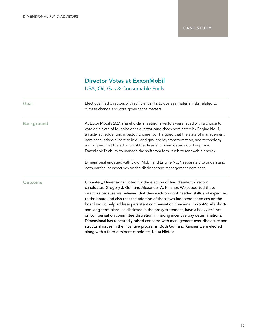# Director Votes at ExxonMobil USA, Oil, Gas & Consumable Fuels

<span id="page-15-0"></span>

| Goal              | Elect qualified directors with sufficient skills to oversee material risks related to<br>climate change and core governance matters.                                                                                                                                                                                                                                                                                                                                                                                                                                                                                                                                                                                                                                                                           |
|-------------------|----------------------------------------------------------------------------------------------------------------------------------------------------------------------------------------------------------------------------------------------------------------------------------------------------------------------------------------------------------------------------------------------------------------------------------------------------------------------------------------------------------------------------------------------------------------------------------------------------------------------------------------------------------------------------------------------------------------------------------------------------------------------------------------------------------------|
| <b>Background</b> | At ExxonMobil's 2021 shareholder meeting, investors were faced with a choice to<br>vote on a slate of four dissident director candidates nominated by Engine No. 1,<br>an activist hedge fund investor. Engine No. 1 argued that the slate of management<br>nominees lacked expertise in oil and gas, energy transformation, and technology<br>and argued that the addition of the dissident's candidates would improve<br>ExxonMobil's ability to manage the shift from fossil fuels to renewable energy.                                                                                                                                                                                                                                                                                                     |
|                   | Dimensional engaged with ExxonMobil and Engine No. 1 separately to understand<br>both parties' perspectives on the dissident and management nominees.                                                                                                                                                                                                                                                                                                                                                                                                                                                                                                                                                                                                                                                          |
| Outcome           | Ultimately, Dimensional voted for the election of two dissident director<br>candidates, Gregory J. Goff and Alexander A. Karsner. We supported these<br>directors because we believed that they each brought needed skills and expertise<br>to the board and also that the addition of these two independent voices on the<br>board would help address persistent compensation concerns. ExxonMobil's short-<br>and long-term plans, as disclosed in the proxy statement, have a heavy reliance<br>on compensation committee discretion in making incentive pay determinations.<br>Dimensional has repeatedly raised concerns with management over disclosure and<br>structural issues in the incentive programs. Both Goff and Karsner were elected<br>along with a third dissident candidate, Kaisa Hietala. |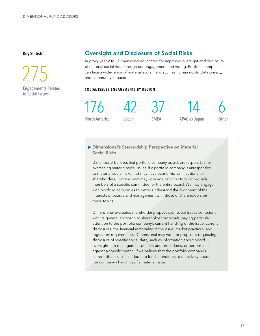### <span id="page-16-0"></span>Key Statistic

 275 Engagements Related to Social Issues

## Oversight and Disclosure of Social Risks

In proxy year 2021, Dimensional advocated for improved oversight and disclosure of material social risks through our engagement and voting. Portfolio companies can face a wide-range of material social risks, such as human rights, data privacy, and community impacts.

#### SOCIAL ISSUES ENGAGEMENTS BY REGION



Dimensional's Stewardship Perspective on Material Social Risks

Dimensional believes that portfolio company boards are responsible for overseeing material social issues. If a portfolio company is unresponsive to material social risks that may have economic ramifications for shareholders, Dimensional may vote against directors individually, members of a specific committee, or the entire board. We may engage with portfolio companies to better understand the alignment of the interests of boards and management with those of shareholders on these topics.

Dimensional evaluates shareholder proposals on social issues consistent with its general approach to shareholder proposals, paying particular attention to the portfolio company's current handling of the issue, current disclosures, the financial materiality of the issue, market practices, and regulatory requirements. Dimensional may vote for proposals requesting disclosure of specific social data, such as information about board oversight, risk management policies and procedures, or performance against a specific metric, if we believe that the portfolio company's current disclosure is inadequate for shareholders to effectively assess the company's handling of a material issue.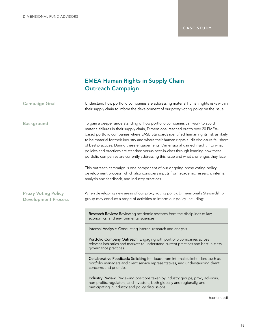# EMEA Human Rights in Supply Chain Outreach Campaign

| <b>Campaign Goal</b>                                     | Understand how portfolio companies are addressing material human rights risks within<br>their supply chain to inform the development of our proxy voting policy on the issue.                                                                                                                                                                                                                                                                                                                                                                                                                                                 |  |
|----------------------------------------------------------|-------------------------------------------------------------------------------------------------------------------------------------------------------------------------------------------------------------------------------------------------------------------------------------------------------------------------------------------------------------------------------------------------------------------------------------------------------------------------------------------------------------------------------------------------------------------------------------------------------------------------------|--|
| <b>Background</b>                                        | To gain a deeper understanding of how portfolio companies can work to avoid<br>material failures in their supply chain, Dimensional reached out to over 20 EMEA-<br>based portfolio companies where SASB Standards identified human rights risk as likely<br>to be material for their industry and where their human rights audit disclosure fell short<br>of best practices. During these engagements, Dimensional gained insight into what<br>policies and practices are standard versus best-in-class through learning how these<br>portfolio companies are currently addressing this issue and what challenges they face. |  |
|                                                          | This outreach campaign is one component of our ongoing proxy voting policy<br>development process, which also considers inputs from academic research, internal<br>analysis and feedback, and industry practices.                                                                                                                                                                                                                                                                                                                                                                                                             |  |
| <b>Proxy Voting Policy</b><br><b>Development Process</b> | When developing new areas of our proxy voting policy, Dimensional's Stewardship<br>group may conduct a range of activities to inform our policy, including:                                                                                                                                                                                                                                                                                                                                                                                                                                                                   |  |
|                                                          | Research Review: Reviewing academic research from the disciplines of law,<br>economics, and environmental sciences                                                                                                                                                                                                                                                                                                                                                                                                                                                                                                            |  |
|                                                          | Internal Analysis: Conducting internal research and analysis                                                                                                                                                                                                                                                                                                                                                                                                                                                                                                                                                                  |  |
|                                                          | Portfolio Company Outreach: Engaging with portfolio companies across<br>relevant industries and markets to understand current practices and best-in-class<br>governance practices                                                                                                                                                                                                                                                                                                                                                                                                                                             |  |
|                                                          | Collaborative Feedback: Soliciting feedback from internal stakeholders, such as<br>portfolio managers and client service representatives, and understanding client<br>concerns and priorities                                                                                                                                                                                                                                                                                                                                                                                                                                 |  |
|                                                          | Industry Review: Reviewing positions taken by industry groups, proxy advisors,<br>non-profits, regulators, and investors, both globally and regionally, and<br>participating in industry and policy discussions                                                                                                                                                                                                                                                                                                                                                                                                               |  |

(continued)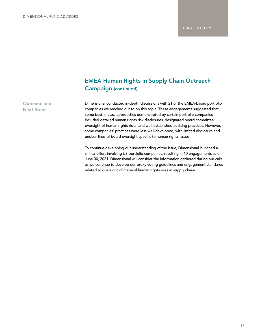# EMEA Human Rights in Supply Chain Outreach Campaign (continued)

### Outcome and Next Steps

Dimensional conducted in-depth discussions with 21 of the EMEA-based portfolio companies we reached out to on this topic. These engagements suggested that some best-in-class approaches demonstrated by certain portfolio companies included detailed human rights risk disclosures, designated board committee oversight of human rights risks, and well-established auditing practices. However, some companies' practices were less well-developed, with limited disclosure and unclear lines of board oversight specific to human rights issues.

To continue developing our understanding of the issue, Dimensional launched a similar effort involving US portfolio companies, resulting in 10 engagements as of June 30, 2021. Dimensional will consider the information gathered during our calls as we continue to develop our proxy voting guidelines and engagement standards related to oversight of material human rights risks in supply chains.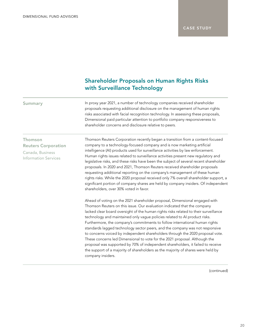## Shareholder Proposals on Human Rights Risks with Surveillance Technology

Summary **In proxy year 2021**, a number of technology companies received shareholder proposals requesting additional disclosure on the management of human rights risks associated with facial recognition technology. In assessing these proposals, Dimensional paid particular attention to portfolio company responsiveness to shareholder concerns and disclosure relative to peers.

### Thomson Reuters Corporation

Canada, Business Information Services Thomson Reuters Corporation recently began a transition from a content-focused company to a technology-focused company and is now marketing artificial intelligence (AI) products used for surveillance activities by law enforcement. Human rights issues related to surveillance activities present new regulatory and legislative risks, and these risks have been the subject of several recent shareholder proposals. In 2020 and 2021, Thomson Reuters received shareholder proposals requesting additional reporting on the company's management of these human rights risks. While the 2020 proposal received only 7% overall shareholder support, a significant portion of company shares are held by company insiders. Of independent shareholders, over 30% voted in favor.

Ahead of voting on the 2021 shareholder proposal, Dimensional engaged with Thomson Reuters on this issue. Our evaluation indicated that the company lacked clear board oversight of the human rights risks related to their surveillance technology and maintained only vague policies related to AI product risks. Furthermore, the company's commitments to follow international human rights standards lagged technology sector peers, and the company was not responsive to concerns voiced by independent shareholders through the 2020 proposal vote. These concerns led Dimensional to vote for the 2021 proposal. Although the proposal was supported by 70% of independent shareholders, it failed to receive the support of a majority of shareholders as the majority of shares were held by company insiders.

(continued)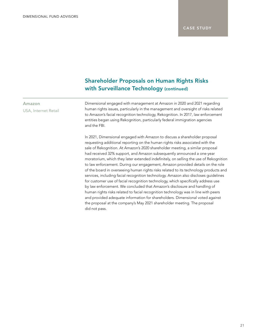## Shareholder Proposals on Human Rights Risks with Surveillance Technology (continued)

Dimensional engaged with management at Amazon in 2020 and 2021 regarding human rights issues, particularly in the management and oversight of risks related to Amazon's facial recognition technology, Rekognition. In 2017, law enforcement entities began using Rekognition, particularly federal immigration agencies and the FBI.

In 2021, Dimensional engaged with Amazon to discuss a shareholder proposal requesting additional reporting on the human rights risks associated with the sale of Rekognition. At Amazon's 2020 shareholder meeting, a similar proposal had received 32% support, and Amazon subsequently announced a one-year moratorium, which they later extended indefinitely, on selling the use of Rekognition to law enforcement. During our engagement, Amazon provided details on the role of the board in overseeing human rights risks related to its technology products and services, including facial recognition technology. Amazon also discloses guidelines for customer use of facial recognition technology, which specifically address use by law enforcement. We concluded that Amazon's disclosure and handling of human rights risks related to facial recognition technology was in line with peers and provided adequate information for shareholders. Dimensional voted against the proposal at the company's May 2021 shareholder meeting. The proposal did not pass.

### Amazon USA, Internet Retail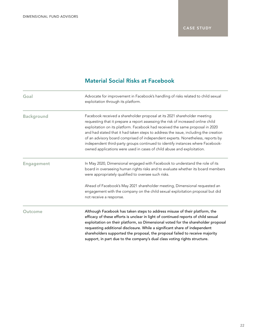# Material Social Risks at Facebook

| Goal              | Advocate for improvement in Facebook's handling of risks related to child sexual<br>exploitation through its platform.                                                                                                                                                                                                                                                                                                                                                                                                                                                             |
|-------------------|------------------------------------------------------------------------------------------------------------------------------------------------------------------------------------------------------------------------------------------------------------------------------------------------------------------------------------------------------------------------------------------------------------------------------------------------------------------------------------------------------------------------------------------------------------------------------------|
| <b>Background</b> | Facebook received a shareholder proposal at its 2021 shareholder meeting<br>requesting that it prepare a report assessing the risk of increased online child<br>exploitation on its platform. Facebook had received the same proposal in 2020<br>and had stated that it had taken steps to address the issue, including the creation<br>of an advisory board comprised of independent experts. Nonetheless, reports by<br>independent third-party groups continued to identify instances where Facebook-<br>owned applications were used in cases of child abuse and exploitation. |
| <b>Engagement</b> | In May 2020, Dimensional engaged with Facebook to understand the role of its<br>board in overseeing human rights risks and to evaluate whether its board members<br>were appropriately qualified to oversee such risks.                                                                                                                                                                                                                                                                                                                                                            |
|                   | Ahead of Facebook's May 2021 shareholder meeting, Dimensional requested an<br>engagement with the company on the child sexual exploitation proposal but did<br>not receive a response.                                                                                                                                                                                                                                                                                                                                                                                             |
| Outcome           | Although Facebook has taken steps to address misuse of their platform, the<br>efficacy of these efforts is unclear in light of continued reports of child sexual<br>exploitation on their platform, so Dimensional voted for the shareholder proposal<br>requesting additional disclosure. While a significant share of independent<br>shareholders supported the proposal, the proposal failed to receive majority<br>support, in part due to the company's dual class voting rights structure.                                                                                   |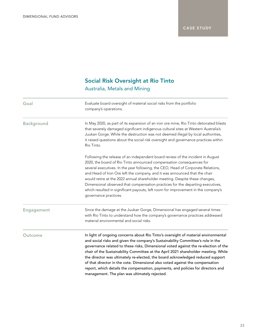# Social Risk Oversight at Rio Tinto Australia, Metals and Mining

| Goal              | Evaluate board oversight of material social risks from the portfolio<br>company's operations.                                                                                                                                                                                                                                                                                                                                                                                                                                                                                                                                                              |
|-------------------|------------------------------------------------------------------------------------------------------------------------------------------------------------------------------------------------------------------------------------------------------------------------------------------------------------------------------------------------------------------------------------------------------------------------------------------------------------------------------------------------------------------------------------------------------------------------------------------------------------------------------------------------------------|
| <b>Background</b> | In May 2020, as part of its expansion of an iron ore mine, Rio Tinto detonated blasts<br>that severely damaged significant indigenous cultural sites at Western Australia's<br>Juukan Gorge. While the destruction was not deemed illegal by local authorities,<br>it raised questions about the social risk oversight and governance practices within<br>Rio Tinto.                                                                                                                                                                                                                                                                                       |
|                   | Following the release of an independent board review of the incident in August<br>2020, the board of Rio Tinto announced compensation consequences for<br>several executives. In the year following, the CEO, Head of Corporate Relations,<br>and Head of Iron Ore left the company, and it was announced that the chair<br>would retire at the 2022 annual shareholder meeting. Despite these changes,<br>Dimensional observed that compensation practices for the departing executives,<br>which resulted in significant payouts, left room for improvement in the company's<br>governance practices.                                                    |
| <b>Engagement</b> | Since the damage at the Juukan Gorge, Dimensional has engaged several times<br>with Rio Tinto to understand how the company's governance practices addressed<br>material environmental and social risks.                                                                                                                                                                                                                                                                                                                                                                                                                                                   |
| Outcome           | In light of ongoing concerns about Rio Tinto's oversight of material environmental<br>and social risks and given the company's Sustainability Committee's role in the<br>governance related to these risks, Dimensional voted against the re-election of the<br>chair of the Sustainability Committee at the April 2021 shareholder meeting. While<br>the director was ultimately re-elected, the board acknowledged reduced support<br>of that director in the vote. Dimensional also voted against the compensation<br>report, which details the compensation, payments, and policies for directors and<br>management. The plan was ultimately rejected. |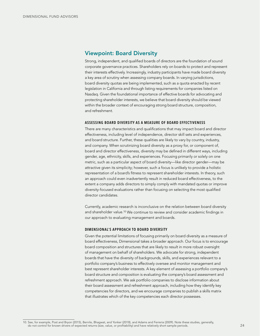### <span id="page-23-0"></span>Viewpoint: Board Diversity

Strong, independent, and qualified boards of directors are the foundation of sound corporate governance practices. Shareholders rely on boards to protect and represent their interests effectively. Increasingly, industry participants have made board diversity a key area of scrutiny when assessing company boards. In varying jurisdictions, board diversity quotas are being implemented, such as a quota enacted by recent legislation in California and through listing requirements for companies listed on Nasdaq. Given the foundational importance of effective boards for advocating and protecting shareholder interests, we believe that board diversity should be viewed within the broader context of encouraging strong board structure, composition, and refreshment.

#### ASSESSING BOARD DIVERSITY AS A MEASURE OF BOARD EFFECTIVENESS

There are many characteristics and qualifications that may impact board and director effectiveness, including level of independence, director skill sets and experiences, and board structure. Further, these qualities are likely to vary by country, industry, and company. When scrutinizing board diversity as a proxy for, or component of, board and director effectiveness, diversity may be defined in different ways, including gender, age, ethnicity, skills, and experiences. Focusing primarily or solely on one metric, such as a particular aspect of board diversity—like director gender—may be attractive given its simplicity; however, such a focus is unlikely to provide a holistic representation of a board's fitness to represent shareholder interests. In theory, such an approach could even inadvertently result in reduced board effectiveness, to the extent a company adds directors to simply comply with mandated quotas or improve diversity-focused evaluations rather than focusing on selecting the most qualified director candidates.

Currently, academic research is inconclusive on the relation between board diversity and shareholder value.10 We continue to review and consider academic findings in our approach to evaluating management and boards.

#### DIMENSIONAL'S APPROACH TO BOARD DIVERSITY

Given the potential limitations of focusing primarily on board diversity as a measure of board effectiveness, Dimensional takes a broader approach. Our focus is to encourage board composition and structures that are likely to result in more robust oversight of management on behalf of shareholders. We advocate for strong, independent boards that have the diversity of backgrounds, skills, and experiences relevant to a portfolio company's business to effectively oversee and monitor management and best represent shareholder interests. A key element of assessing a portfolio company's board structure and composition is evaluating the company's board assessment and refreshment approach. We ask portfolio companies to disclose information about their board assessment and refreshment approach, including how they identify key competencies for directors, and we encourage companies to publish a skills matrix that illustrates which of the key competencies each director possesses.

<sup>10.</sup> See, for example, Post and Bryon (2015), Bernile, Bhagwat, and Yonker (2018), and Adams and Ferreria (2009). Note these studies, generally, do not control for known drivers of expected returns (size, value, or profitability) and have relatively short sample periods.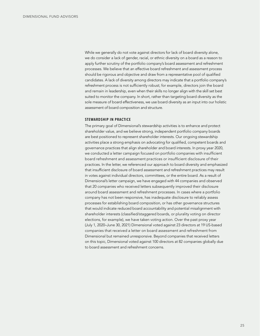While we generally do not vote against directors for lack of board diversity alone, we do consider a lack of gender, racial, or ethnic diversity on a board as a reason to apply further scrutiny of the portfolio company's board assessment and refreshment processes. We believe that an effective board refreshment and assessment process should be rigorous and objective and draw from a representative pool of qualified candidates. A lack of diversity among directors may indicate that a portfolio company's refreshment process is not sufficiently robust; for example, directors join the board and remain in leadership, even when their skills no longer align with the skill set best suited to monitor the company. In short, rather than targeting board diversity as the sole measure of board effectiveness, we use board diversity as an input into our holistic assessment of board composition and structure.

#### STEWARDSHIP IN PRACTICE

The primary goal of Dimensional's stewardship activities is to enhance and protect shareholder value, and we believe strong, independent portfolio company boards are best positioned to represent shareholder interests. Our ongoing stewardship activities place a strong emphasis on advocating for qualified, competent boards and governance practices that align shareholder and board interests. In proxy year 2020, we conducted a letter campaign focused on portfolio companies with insufficient board refreshment and assessment practices or insufficient disclosure of their practices. In the letter, we referenced our approach to board diversity and emphasized that insufficient disclosure of board assessment and refreshment practices may result in votes against individual directors, committees, or the entire board. As a result of Dimensional's letter campaign, we have engaged with 44 companies and observed that 20 companies who received letters subsequently improved their disclosure around board assessment and refreshment processes. In cases where a portfolio company has not been responsive, has inadequate disclosure to reliably assess processes for establishing board composition, or has other governance structures that would indicate reduced board accountability and potential misalignment with shareholder interests (classified/staggered boards, or plurality voting on director elections, for example), we have taken voting action. Over the past proxy year (July 1, 2020–June 30, 2021) Dimensional voted against 23 directors at 19 US-based companies that received a letter on board assessment and refreshment from Dimensional but remained unresponsive. Beyond companies that received letters on this topic, Dimensional voted against 100 directors at 82 companies globally due to board assessment and refreshment concerns.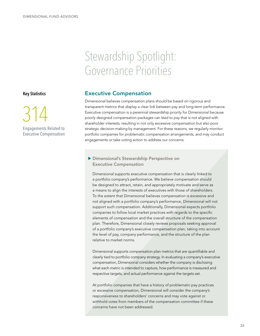# Stewardship Spotlight: Governance Priorities

#### <span id="page-25-0"></span>Key Statistics



# Executive Compensation

Dimensional believes compensation plans should be based on rigorous and transparent metrics that display a clear link between pay and long-term performance. Executive compensation is a perennial stewardship priority for Dimensional because poorly designed compensation packages can lead to pay that is not aligned with shareholder interests, resulting in not only excessive compensation but also poor strategic decision-making by management. For these reasons, we regularly monitor portfolio companies for problematic compensation arrangements, and may conduct engagements or take voting action to address our concerns.

### Dimensional's Stewardship Perspective on Executive Compensation

Dimensional supports executive compensation that is clearly linked to a portfolio company's performance. We believe compensation should be designed to attract, retain, and appropriately motivate and serve as a means to align the interests of executives with those of shareholders. To the extent that Dimensional believes compensation is excessive and not aligned with a portfolio company's performance, Dimensional will not support such compensation. Additionally, Dimensional expects portfolio companies to follow local market practices with regards to the specific elements of compensation and the overall structure of the compensation plan. Therefore, Dimensional closely reviews proposals seeking approval of a portfolio company's executive compensation plan, taking into account the level of pay, company performance, and the structure of the plan relative to market norms.

Dimensional supports compensation plan metrics that are quantifiable and clearly tied to portfolio company strategy. In evaluating a company's executive compensation, Dimensional considers whether the company is disclosing what each metric is intended to capture, how performance is measured and respective targets, and actual performance against the targets set.

At portfolio companies that have a history of problematic pay practices or excessive compensation, Dimensional will consider the company's responsiveness to shareholders' concerns and may vote against or withhold votes from members of the compensation committee if these concerns have not been addressed.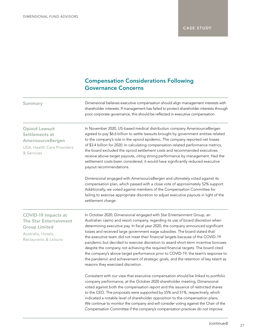# Compensation Considerations Following Governance Concerns

| Summary                                                                                                                     | Dimensional believes executive compensation should align management interests with<br>shareholder interests. If management has failed to protect shareholder interests through<br>poor corporate governance, this should be reflected in executive compensation.                                                                                                                                                                                                                                                                                                                                                                                                                                                                                                                                            |
|-----------------------------------------------------------------------------------------------------------------------------|-------------------------------------------------------------------------------------------------------------------------------------------------------------------------------------------------------------------------------------------------------------------------------------------------------------------------------------------------------------------------------------------------------------------------------------------------------------------------------------------------------------------------------------------------------------------------------------------------------------------------------------------------------------------------------------------------------------------------------------------------------------------------------------------------------------|
| <b>Opioid Lawsuit</b><br>Settlements at<br>AmerisourceBergen<br>USA, Health Care Providers<br>& Services                    | In November 2020, US-based medical distribution company AmerisourceBergen<br>agreed to pay \$6.6 billion to settle lawsuits brought by government entities related<br>to the company's role in the opioid epidemic. The company reported net losses<br>of \$3.4 billion for 2020. In calculating compensation-related performance metrics,<br>the board excluded the opioid settlement costs and recommended executives<br>receive above-target payouts, citing strong performance by management. Had the<br>settlement costs been considered, it would have significantly reduced executive<br>payout recommendations.                                                                                                                                                                                     |
|                                                                                                                             | Dimensional engaged with AmerisourceBergen and ultimately voted against its<br>compensation plan, which passed with a close vote of approximately 52% support.<br>Additionally, we voted against members of the Compensation Committee for<br>failing to exercise appropriate discretion to adjust executive payouts in light of the<br>settlement charge.                                                                                                                                                                                                                                                                                                                                                                                                                                                  |
| <b>COVID-19 Impacts at</b><br>The Star Entertainment<br><b>Group Limited</b><br>Australia, Hotels,<br>Restaurants & Leisure | In October 2020, Dimensional engaged with Star Entertainment Group, an<br>Australian casino and resort company, regarding its use of board discretion when<br>determining executive pay. In fiscal year 2020, the company announced significant<br>losses and received large government wage subsidies. The board stated that<br>the executive team did not meet their financial targets because of the COVID-19<br>pandemic but decided to exercise discretion to award short-term incentive bonuses<br>despite the company not achieving the required financial targets. The board cited<br>the company's above-target performance prior to COVID-19, the team's response to<br>the pandemic and achievement of strategic goals, and the retention of key talent as<br>reasons they exercised discretion. |
|                                                                                                                             | Consistent with our view that executive compensation should be linked to portfolio<br>company performance, at the October 2020 shareholder meeting, Dimensional<br>voted against both the compensation report and the issuance of restricted shares<br>to the CEO. The proposals were supported by 55% and 51%, respectively, which<br>indicated a notable level of shareholder opposition to the compensation plans.<br>We continue to monitor the company and will consider voting against the Chair of the<br>Compensation Committee if the company's compensation practices do not improve.                                                                                                                                                                                                             |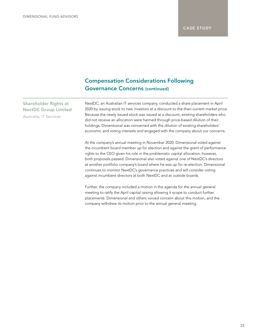## Compensation Considerations Following Governance Concerns (continued)

Shareholder Rights at NextDC Group Limited Australia, IT Services

NextDC, an Australian IT services company, conducted a share placement in April 2020 by issuing stock to new investors at a discount to the then-current market price. Because the newly issued stock was issued at a discount, existing shareholders who did not receive an allocation were harmed through price-based dilution of their holdings. Dimensional was concerned with the dilution of existing shareholders' economic and voting interests and engaged with the company about our concerns.

At the company's annual meeting in November 2020, Dimensional voted against the incumbent board member up for election and against the grant of performance rights to the CEO given his role in the problematic capital allocation; however, both proposals passed. Dimensional also voted against one of NextDC's directors at another portfolio company's board where he was up for re-election. Dimensional continues to monitor NextDC's governance practices and will consider voting against incumbent directors at both NextDC and at outside boards.

Further, the company included a motion in the agenda for the annual general meeting to ratify the April capital raising allowing it scope to conduct further placements. Dimensional and others voiced concern about this motion, and the company withdrew its motion prior to the annual general meeting.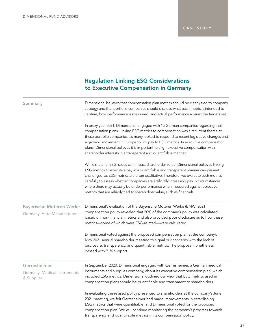# Regulation Linking ESG Considerations to Executive Compensation in Germany

| Summary                                                       | Dimensional believes that compensation plan metrics should be clearly tied to company<br>strategy and that portfolio companies should disclose what each metric is intended to<br>capture, how performance is measured, and actual performance against the targets set.<br>In proxy year 2021, Dimensional engaged with 15 German companies regarding their<br>compensation plans. Linking ESG metrics to compensation was a recurrent theme at<br>these portfolio companies, as many looked to respond to recent legislative changes and<br>a growing movement in Europe to link pay to ESG metrics. In executive compensation<br>plans, Dimensional believes it is important to align executive compensation with<br>shareholder interests in a transparent and quantifiable manner. |  |  |
|---------------------------------------------------------------|----------------------------------------------------------------------------------------------------------------------------------------------------------------------------------------------------------------------------------------------------------------------------------------------------------------------------------------------------------------------------------------------------------------------------------------------------------------------------------------------------------------------------------------------------------------------------------------------------------------------------------------------------------------------------------------------------------------------------------------------------------------------------------------|--|--|
|                                                               |                                                                                                                                                                                                                                                                                                                                                                                                                                                                                                                                                                                                                                                                                                                                                                                        |  |  |
| <b>Bayerische Moteren Werke</b><br>Germany, Auto Manufacturer | Dimensional's evaluation of the Bayerische Moteren Werke (BMW) 2021<br>compensation policy revealed that 50% of the company's policy was calculated<br>based on non-financial metrics and also provided poor disclosure as to how these<br>metrics-some of which were ESG-related-were calculated.                                                                                                                                                                                                                                                                                                                                                                                                                                                                                     |  |  |
|                                                               | Dimensional voted against the proposed compensation plan at the company's<br>May 2021 annual shareholder meeting to signal our concerns with the lack of<br>disclosure, transparency, and quantifiable metrics. The proposal nonetheless<br>passed with 91% support.                                                                                                                                                                                                                                                                                                                                                                                                                                                                                                                   |  |  |
| Gerresheimer<br>Germany, Medical Instruments<br>& Supplies    | In September 2020, Dimensional engaged with Gerresheimer, a German medical<br>instruments and supplies company, about its executive compensation plan, which<br>included ESG metrics. Dimensional outlined our view that ESG metrics used in<br>compensation plans should be quantifiable and transparent to shareholders.                                                                                                                                                                                                                                                                                                                                                                                                                                                             |  |  |
|                                                               | In evaluating the revised policy presented to shareholders at the company's June<br>2021 meeting, we felt Gerresheimer had made improvements in establishing<br>ESG metrics that were quantifiable, and Dimensional voted for the proposed<br>compensation plan. We will continue monitoring the company's progress towards<br>transparency and quantifiable metrics in its compensation policy.                                                                                                                                                                                                                                                                                                                                                                                       |  |  |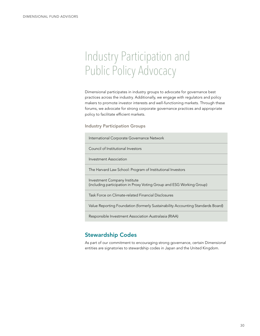# <span id="page-29-0"></span>Industry Participation and Public Policy Advocacy

Dimensional participates in industry groups to advocate for governance best practices across the industry. Additionally, we engage with regulators and policy makers to promote investor interests and well-functioning markets. Through these forums, we advocate for strong corporate governance practices and appropriate policy to facilitate efficient markets.

Industry Participation Groups

International Corporate Governance Network

Council of Institutional Investors

Investment Association

The Harvard Law School: Program of Institutional Investors

Investment Company Institute (including participation in Proxy Voting Group and ESG Working Group)

Task Force on Climate-related Financial Disclosures

Value Reporting Foundation (formerly Sustainability Accounting Standards Board)

Responsible Investment Association Australasia (RIAA)

## Stewardship Codes

As part of our commitment to encouraging strong governance, certain Dimensional entities are signatories to stewardship codes in Japan and the United Kingdom.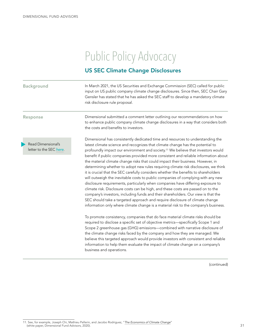# Public Policy Advocacy

## US SEC Climate Change Disclosures

Background **In March 2021**, the US Securities and Exchange Commission (SEC) called for public input on US public company climate change disclosures. Since then, SEC Chair Gary Gensler has stated that he has asked the SEC staff to develop a mandatory climate risk disclosure rule proposal.

Response **Example 3** Dimensional submitted a comment letter outlining our recommendations on how to enhance public company climate change disclosures in a way that considers both the costs and benefits to investors.

Read Dimensional's letter to the SEC *[here](https://www.sec.gov/comments/climate-disclosure/cll12-8907499-244229.pdf)*. Dimensional has consistently dedicated time and resources to understanding the latest climate science and recognizes that climate change has the potential to profoundly impact our environment and society.11 We believe that investors would benefit if public companies provided more consistent and reliable information about the material climate change risks that could impact their business. However, in determining whether to adopt new rules requiring climate risk disclosures, we think it is crucial that the SEC carefully considers whether the benefits to shareholders will outweigh the inevitable costs to public companies of complying with any new disclosure requirements, particularly when companies have differing exposure to climate risk. Disclosure costs can be high, and these costs are passed on to the company's investors, including funds and their shareholders. Our view is that the SEC should take a targeted approach and require disclosure of climate change information only where climate change is a material risk to the company's business.

To promote consistency, companies that do face material climate risks should be required to disclose a specific set of objective metrics—specifically Scope 1 and Scope 2 greenhouse gas (GHG) emissions—combined with narrative disclosure of the climate change risks faced by the company and how they are managed. We believe this targeted approach would provide investors with consistent and reliable information to help them evaluate the impact of climate change on a company's business and operations.

(continued)

<sup>11.</sup> See, for example, Joseph Chi, Mathieu Pellerin, and Jacobo Rodriguez, "*[The Economics of Climate Change](https://my.dimensional.com/xlink/uejYq7qS3DHfodXAdMomqiJgQMMbTcoD6KgU4HMzW_xc_SXWk2nYcfsZth98OqJWyDHFhZiRANCOmj4BJdvTYaMeOkkWC_s-NimKbL9d_SwKYPjRSwMYG7biY_ZnUXgfNZlpKJ8O9VCVp3FARzOoON6TIn7IfxhiK_X9kfizdDM1)*" (white paper, Dimensional Fund Advisors, 2020).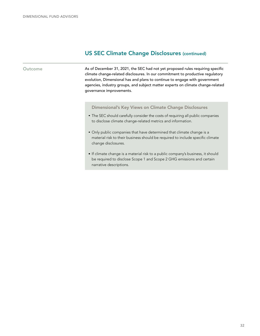### US SEC Climate Change Disclosures (continued)

Outcome **As of December 31, 2021, the SEC had not yet proposed rules requiring specific** climate change-related disclosures. In our commitment to productive regulatory evolution, Dimensional has and plans to continue to engage with government agencies, industry groups, and subject matter experts on climate change-related governance improvements.

#### Dimensional's Key Views on Climate Change Disclosures

- The SEC should carefully consider the costs of requiring all public companies to disclose climate change-related metrics and information.
- Only public companies that have determined that climate change is a material risk to their business should be required to include specific climate change disclosures.
- If climate change is a material risk to a public company's business, it should be required to disclose Scope 1 and Scope 2 GHG emissions and certain narrative descriptions.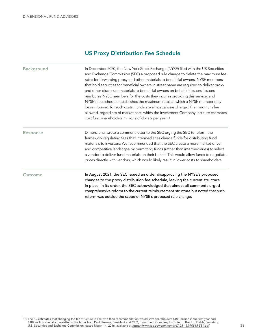## US Proxy Distribution Fee Schedule

Background **In December 2020, the New York Stock Exchange (NYSE)** filed with the US Securities and Exchange Commission (SEC) a proposed rule change to delete the maximum fee rates for forwarding proxy and other materials to beneficial owners. NYSE members that hold securities for beneficial owners in street name are required to deliver proxy and other disclosure materials to beneficial owners on behalf of issuers. Issuers reimburse NYSE members for the costs they incur in providing this service, and NYSE's fee schedule establishes the maximum rates at which a NYSE member may be reimbursed for such costs. Funds are almost always charged the maximum fee allowed, regardless of market cost, which the Investment Company Institute estimates cost fund shareholders millions of dollars per year.12

Response **EXEC 10** Dimensional wrote a comment letter to the SEC urging the SEC to reform the framework regulating fees that intermediaries charge funds for distributing fund materials to investors. We recommended that the SEC create a more market-driven and competitive landscape by permitting funds (rather than intermediaries) to select a vendor to deliver fund materials on their behalf. This would allow funds to negotiate prices directly with vendors, which would likely result in lower costs to shareholders.

Outcome In August 2021, the SEC issued an order disapproving the NYSE's proposed changes to the proxy distribution fee schedule, leaving the current structure in place. In its order, the SEC acknowledged that almost all comments urged comprehensive reform to the current reimbursement structure but noted that such reform was outside the scope of NYSE's proposed rule change.

<sup>12.</sup> The ICI estimates that changing the fee structure in line with their recommendation would save shareholders \$101 million in the first year and \$182 million annually thereafter in the letter from Paul Stevens, President and CEO, Investment Company Institute, to Brent J. Fields, Secretary, U.S. Securities and Exchange Commission, dated March 14, 2016, available at *https://www.sec.gov/comments/s7-08-15/s70815-581.pdf*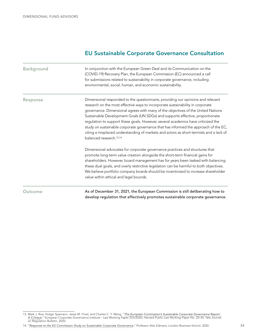## EU Sustainable Corporate Governance Consultation

| <b>Background</b> | In conjunction with the European Green Deal and its Communication on the<br>(COVID-19) Recovery Plan, the European Commission (EC) announced a call<br>for submissions related to sustainability in corporate governance, including<br>environmental, social, human, and economic sustainability.                                                                                                                                                                                                                                                                                                                                                   |
|-------------------|-----------------------------------------------------------------------------------------------------------------------------------------------------------------------------------------------------------------------------------------------------------------------------------------------------------------------------------------------------------------------------------------------------------------------------------------------------------------------------------------------------------------------------------------------------------------------------------------------------------------------------------------------------|
| Response          | Dimensional responded to the questionnaire, providing our opinions and relevant<br>research on the most effective ways to incorporate sustainability in corporate<br>governance. Dimensional agrees with many of the objectives of the United Nations<br>Sustainable Development Goals (UN SDGs) and supports effective, proportionate<br>regulation to support these goals. However, several academics have criticized the<br>study on sustainable corporate governance that has informed the approach of the EC,<br>citing a misplaced understanding of markets and actors as short-termists and a lack of<br>balanced research. <sup>13,14</sup> |
|                   | Dimensional advocates for corporate governance practices and structures that<br>promote long-term value creation alongside the short-term financial gains for<br>shareholders. However, board management has for years been tasked with balancing<br>these dual goals, and overly restrictive legislation can be harmful to both objectives.<br>We believe portfolio company boards should be incentivized to increase shareholder<br>value within ethical and legal bounds.                                                                                                                                                                        |
| Outcome           | As of December 31, 2021, the European Commission is still deliberating how to<br>develop regulation that effectively promotes sustainable corporate governance.                                                                                                                                                                                                                                                                                                                                                                                                                                                                                     |

<sup>13.</sup> Mark J. Roe, Holger Spamann, Jesse M. Fried, and Charles C. Y. Wang, "*[The European Commission's Sustainable Corporate Governance Report:](https://papers.ssrn.com/sol3/papers.cfm?abstract_id=3711652)  [A Critique](https://papers.ssrn.com/sol3/papers.cfm?abstract_id=3711652)*," European Corporate Governance Institute - Law Working Paper 553/2020, Harvard Public Law Working Paper No. 20-30, Yale Journal on Regulation Bulletin, 2020.

<sup>14. &</sup>quot;*[Response to the EU Commission Study on Sustainable Corporate Governance](https://alexedmans.com/wp-content/uploads/2020/10/European-Commission-Sustainable-Corporate-Governance.pdf)*," Professor Alex Edmans, London Business School, 2020.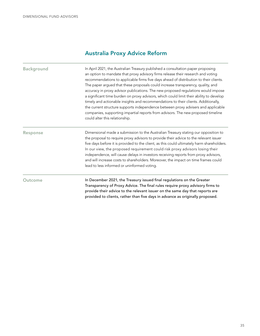## Australia Proxy Advice Reform

Background **In April 2021, the Australian Treasury published a consultation paper proposing** an option to mandate that proxy advisory firms release their research and voting recommendations to applicable firms five days ahead of distribution to their clients. The paper argued that these proposals could increase transparency, quality, and accuracy in proxy advisor publications. The new proposed regulations would impose a significant time burden on proxy advisors, which could limit their ability to develop timely and actionable insights and recommendations to their clients. Additionally, the current structure supports independence between proxy advisers and applicable companies, supporting impartial reports from advisors. The new proposed timeline could alter this relationship.

Response Dimensional made a submission to the Australian Treasury stating our opposition to the proposal to require proxy advisors to provide their advice to the relevant issuer five days before it is provided to the client, as this could ultimately harm shareholders. In our view, the proposed requirement could risk proxy advisors losing their independence, will cause delays in investors receiving reports from proxy advisors, and will increase costs to shareholders. Moreover, the impact on time frames could lead to less informed or uninformed voting.

Outcome **In December 2021, the Treasury issued final regulations on the Greater** Transparency of Proxy Advice. The final rules require proxy advisory firms to provide their advice to the relevant issuer on the same day that reports are provided to clients, rather than five days in advance as originally proposed.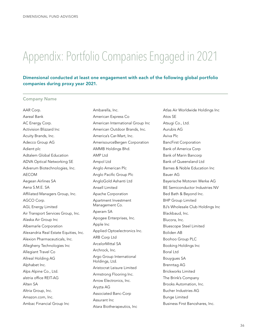# <span id="page-35-0"></span>Appendix: Portfolio Companies Engaged in 2021

### Dimensional conducted at least one engagement with each of the following global portfolio companies during proxy year 2021.

#### Company Name

AAR Corp. Aareal Bank AC Energy Corp. Activision Blizzard Inc Acuity Brands, Inc. Adecco Group AG Adient plc Adtalem Global Education ADVA Optical Networking SE Adverum Biotechnologies, Inc. AECOM Aegean Airlines SA Aena S.M.E. SA Affiliated Managers Group, Inc. AGCO Corp. AGL Energy Limited Air Transport Services Group, Inc. Alaska Air Group Inc Albemarle Corporation Alexandria Real Estate Equities, Inc. Alexion Pharmaceuticals, Inc. Allegheny Technologies Inc Allegiant Travel Co Allreal Holding AG Alphabet Inc. Alps Alpine Co., Ltd. alstria office REIT-AG Alten SA Altria Group, Inc. Amazon.com, Inc. Ambac Financial Group Inc

Ambarella, Inc. American Express Co American International Group Inc American Outdoor Brands, Inc. America's Car-Mart, Inc. AmerisourceBergen Corporation AMMB Holdings Bhd. AMP Ltd Ampol Ltd Anglo American Plc Anglo Pacific Group Plc AngloGold Ashanti Ltd Ansell Limited Apache Corporation Apartment Investment Management Co. Aperam SA Apogee Enterprises, Inc. Apple Inc Applied Optoelectronics Inc. ARB Corp Ltd ArcelorMittal SA Archrock, Inc. Argo Group International Holdings, Ltd. Aristocrat Leisure Limited Armstrong Flooring Inc. Arrow Electronics, Inc. Aryzta AG Associated Banc-Corp Assurant Inc Atara Biotherapeutics, Inc

Atlas Air Worldwide Holdings Inc Atos SE Atsugi Co., Ltd. Aurubis AG Aviva Plc BancFirst Corporation Bank of America Corp Bank of Marin Bancorp Bank of Queensland Ltd Barnes & Noble Education Inc Bauer AG Bayerische Motoren Werke AG BE Semiconductor Industries NV Bed Bath & Beyond Inc. BHP Group Limited BJ's Wholesale Club Holdings Inc Blackbaud, Inc. Blucora, Inc. Bluescope Steel Limited Boliden AB Boohoo Group PLC Booking Holdings Inc Boral Ltd Bouygues SA Brenntag AG Brickworks Limited The Brink's Company Brooks Automation, Inc. Bucher Industries AG Bunge Limited Business First Bancshares, Inc.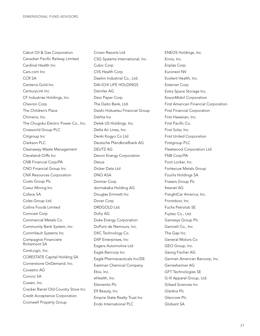Cabot Oil & Gas Corporation Canadian Pacific Railway Limited Cardinal Health Inc Cars.com Inc CCR SA Centerra Gold Inc. CenturyLink Inc CF Industries Holdings, Inc. Chevron Corp The Children's Place Chimerix, Inc. The Chugoku Electric Power Co., Inc. Cineworld Group PLC Citigroup Inc Clarkson PLC Cleanaway Waste Management Cleveland-Cliffs Inc CNB Financial Corp/PA CNO Financial Group Inc CNX Resources Corporation Coats Group Plc Coeur Mining Inc Coface SA Coles Group Ltd. Collins Foods Limited Comcast Corp Commercial Metals Co Community Bank System, Inc. CommVault Systems Inc Compagnie Financiere Richemont SA CoreLogic, Inc. CORESTATE Capital Holding SA Cornerstone OnDemand, Inc. Covestro AG Covivio SA Cowen, Inc. Cracker Barrel Old Country Store Inc Credit Acceptance Corporation Cromwell Property Group

Crown Resorts Ltd CSG Systems International, Inc. Cubic Corp CVS Health Corp Daelim Industrial Co., Ltd. DAI-ICHI LIFE HOLDINGS Daimler AG Daio Paper Corp The Daito Bank, Ltd. Daishi Hokuetsu Financial Group DaVita Inc Delek US Holdings, Inc. Delta Air Lines, Inc. Denki Kogyo Co Ltd Deutsche Pfandbriefbank AG DEUTZ AG Devon Energy Corporation Dexus Dicker Data Ltd DNO ASA Domtar Corp dormakaba Holding AG Douglas Emmett Inc Dover Corp DRDGOLD Ltd. Dufry AG Duke Energy Corporation DuPont de Nemours, Inc. DXC Technology Co. DXP Enterprises, Inc Eagers Automotive Ltd Eagle Bancorp Inc Eagle Pharmaceuticals Inc/DE Eastman Chemical Company Ebix, Inc. eHealth, Inc. Elementis Plc Elf Beauty, Inc. Empire State Realty Trust Inc Endo International PLC

ENEOS Holdings, Inc. Ennis, Inc. Enplas Corp Euronext NV Evolent Health, Inc. Exterran Corp Extra Space Storage Inc. ExxonMobil Corporation First American Financial Corporation First Financial Corporation First Hawaiian, Inc. First Pacific Co. First Solar, Inc. First United Corporation Firstgroup PLC Fleetwood Corporation Ltd FNB Corp/PA Foot Locker, Inc. Fortescue Metals Group Fourlis Holdings SA Frasers Group Plc freenet AG FreightCar America, Inc. Frontdoor, Inc. Fuchs Petrolub SE Fujitec Co., Ltd. Gamesys Group Plc Gannett Co., Inc. The Gap Inc. General Motors Co GEO Group, Inc. Georg Fischer AG German American Bancorp, Inc Gerresheimer AG GFT Technologies SE G-III Apparel Group, Ltd. Gilead Sciences Inc Glanbia Plc Glencore Plc Globant SA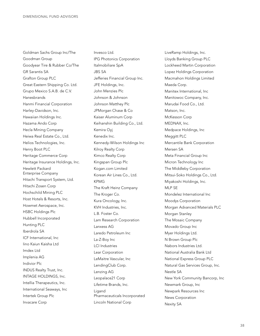Goldman Sachs Group Inc/The Goodman Group Goodyear Tire & Rubber Co/The GR Sarantis SA Grafton Group PLC Great Eastern Shipping Co. Ltd. Grupo Mexico S.A.B. de C.V. Hanesbrands Hanmi Financial Corporation Harley-Davidson, Inc. Hawaiian Holdings Inc. Hazama Ando Corp Hecla Mining Company Heiwa Real Estate Co., Ltd. Helios Technologies, Inc. Henry Boot PLC Heritage Commerce Corp Heritage Insurance Holdings, Inc. Hewlett Packard Enterprise Company Hitachi Transport System, Ltd. Hitachi Zosen Corp Hochschild Mining PLC Host Hotels & Resorts, Inc. Howmet Aerospace, Inc. HSBC Holdings Plc Hubbell Incorporated Hunting PLC Iberdrola SA ICF International, Inc Iino Kaiun Kaisha Ltd Imdex Ltd Implenia AG Indivior Plc INDUS Realty Trust, Inc. INTAGE HOLDINGS, Inc. Intellia Therapeutics, Inc. International Seaways, Inc Intertek Group Plc Invacare Corp

Invesco Ltd. IPG Photonics Corporation Italmobiliare SpA JBS SA Jefferies Financial Group Inc. JFE Holdings, Inc. John Menzies Plc Johnson & Johnson Johnson Matthey Plc JPMorgan Chase & Co Kaiser Aluminum Corp Keihanshin Building Co., Ltd. Kemira Oyj Kenedix Inc. Kennedy-Wilson Holdings Inc Kilroy Realty Corp Kimco Realty Corp Kingspan Group Plc Kogan.com Limited Korean Air Lines Co., Ltd. KPMG The Kraft Heinz Company The Kroger Co. Kura Oncology, Inc. KVH Industries, Inc. L.B. Foster Co. Lam Research Corporation Lanxess AG Laredo Petroleum Inc La-Z-Boy Inc LCI Industries Lear Corporation LeMaitre Vascular, Inc LendingClub Corp. Lenzing AG Leopalace21 Corp Lifetime Brands, Inc. Ligand Pharmaceuticals Incorporated Lincoln National Corp

LiveRamp Holdings, Inc. Lloyds Banking Group PLC Lockheed Martin Corporation Lopez Holdings Corporation Macmahon Holdings Limited Maeda Corp. Manitex International, Inc Manitowoc Company, Inc. Marudai Food Co., Ltd. Matson, Inc. McKesson Corp MEDNAX, Inc. Medpace Holdings, Inc Meggitt PLC Mercantile Bank Corporation Mersen SA Meta Financial Group Inc Micron Technology Inc The Middleby Corporation Mitsui-Soko Holdings Co., Ltd. Miyakoshi Holdings, Inc. MLP SE Mondelez International Inc Moodys Corporation Morgan Advanced Materials PLC Morgan Stanley The Mosaic Company Movado Group Inc Myer Holdings Ltd. N Brown Group Plc Nabors Industries Ltd. National Australia Bank Ltd National Express Group PLC Natural Gas Services Group, Inc. Nestle SA New York Community Bancorp, Inc Newmark Group, Inc Newpark Resources Inc News Corporation Nexity SA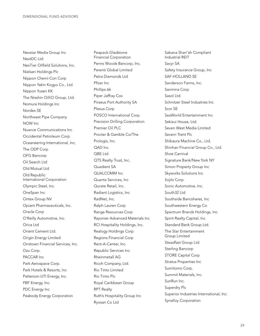Nexstar Media Group Inc NextDC Ltd NexTier Oilfield Solutions, Inc. Nielsen Holdings Plc Nippon Chemi-Con Corp Nippon Yakin Kogyo Co., Ltd. Nippon Yusen KK The Nisshin OilliO Group, Ltd. Nomura Holdings Inc Nordex SE Northwest Pipe Company NOW Inc Nuance Communications Inc Occidental Petroleum Corp Oceaneering International, Inc. The ODP Corp OFG Bancorp Oil Search Ltd Old Mutual Ltd. Old Republic International Corporation Olympic Steel, Inc. OneSpan Inc Ontex Group NV Opiant Pharmaceuticals, Inc. Oracle Corp O'Reilly Automotive, Inc. Orica Ltd Orient Cement Ltd. Origin Energy Limited Orrstown Financial Services, Inc. Ozu Corp. PACCAR Inc Park Aerospace Corp. Park Hotels & Resorts, Inc Patterson-UTI Energy, Inc. PBF Energy, Inc. PDC Energy Inc Peabody Energy Corporation

Peapack-Gladstone Financial Corporation Penns Woods Bancorp, Inc. Perenti Global Limited Petra Diamonds Ltd Pfizer Inc Phillips 66 Piper Jaffray Cos Piraeus Port Authority SA Plexus Corp POSCO International Corp. Precision Drilling Corporation Premier Oil PLC Procter & Gamble Co/The Prologis, Inc. QAD Inc. QBE Ltd QTS Realty Trust, Inc. Quadient SA QUALCOMM Inc Quanta Services, Inc Qurate Retail, Inc. Radiant Logistics, Inc RadNet, Inc. Ralph Lauren Corp Range Resources Corp Rayonier Advanced Materials Inc RCI Hospitality Holdings, Inc. Realogy Holdings Corp Regions Financial Corp Rent-A-Center, Inc. Republic Services Inc Rheinmetall AG Ricoh Company, Ltd. Rio Tinto Limited Rio Tinto Plc Royal Caribbean Group RPT Realty Ruth's Hospitality Group Inc Ryosan Co Ltd

Sabana Shari'ah Compliant Industrial REIT Sacyr SA Safety Insurance Group, Inc SAF-HOLLAND SE Sanderson Farms, Inc. Sanmina Corp Sasol Ltd. Schnitzer Steel Industries Inc Scor SE SeaWorld Entertainment Inc Sekisui House, Ltd. Seven West Media Limited Severn Trent Plc Shibaura Machine Co., Ltd. Shinhan Financial Group Co., Ltd. Shoe Carnival Signature Bank/New York NY Simon Property Group Inc Skyworks Solutions Inc Sojitz Corp. Sonic Automotive, Inc. South32 Ltd Southside Bancshares, Inc Southwestern Energy Co Spectrum Brands Holdings, Inc. Spirit Realty Capital, Inc Standard Bank Group Ltd. The Star Entertainment Group Limited Steadfast Group Ltd Sterling Bancorp STORE Capital Corp Stratus Properties Inc Sumitomo Corp. Summit Materials, Inc. SunRun Inc. Superdry Plc Superior Industries International, Inc. Synalloy Corporation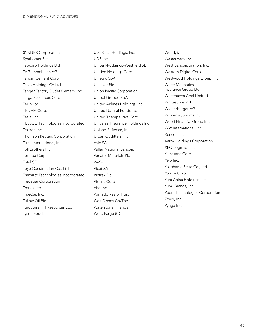SYNNEX Corporation Synthomer Plc Tabcorp Holdings Ltd TAG Immobilien AG Taiwan Cement Corp Taiyo Holdings Co Ltd Tanger Factory Outlet Centers, Inc. Targa Resources Corp Teijin Ltd TENMA Corp. Tesla, Inc. TESSCO Technologies Incorporated Textron Inc Thomson Reuters Corporation Titan International, Inc. Toll Brothers Inc Toshiba Corp. Total SE Toyo Construction Co., Ltd. TransAct Technologies Incorporated Tredegar Corporation Tronox Ltd TrueCar, Inc. Tullow Oil Plc Turquoise Hill Resources Ltd. Tyson Foods, Inc.

U.S. Silica Holdings, Inc. UDR Inc Unibail-Rodamco-Westfield SE Uniden Holdings Corp. Unieuro SpA Unilever Plc Union Pacific Corporation Unipol Gruppo SpA United Airlines Holdings, Inc. United Natural Foods Inc United Therapeutics Corp Universal Insurance Holdings Inc Upland Software, Inc. Urban Outfitters, Inc. Vale SA Valley National Bancorp Venator Materials Plc ViaSat Inc Vicat SA Victrex Plc Virtusa Corp Visa Inc. Vornado Realty Trust Walt Disney Co/The Waterstone Financial Wells Fargo & Co

Wendy's Wesfarmers Ltd West Bancorporation, Inc. Western Digital Corp Westwood Holdings Group, Inc White Mountains Insurance Group Ltd Whitehaven Coal Limited Whitestone REIT Wienerberger AG Williams-Sonoma Inc Woori Financial Group Inc. WW International, Inc. Xencor, Inc. Xerox Holdings Corporation XPO Logistics, Inc. Yamatane Corp. Yelp Inc. Yokohama Reito Co., Ltd. Yorozu Corp. Yum China Holdings Inc. Yum! Brands, Inc. Zebra Technologies Corporation Zovio, Inc. Zynga Inc.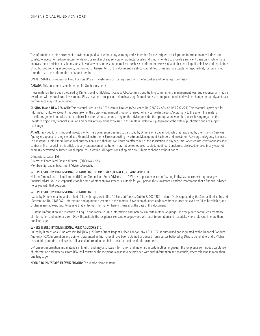The information in this document is provided in good faith without any warranty and is intended for the recipient's background information only. It does not constitute investment advice, recommendation, or an offer of any services or products for sale and is not intended to provide a sufficient basis on which to make an investment decision. It is the responsibility of any persons wishing to make a purchase to inform themselves of and observe all applicable laws and regulations. Unauthorized copying, reproducing, duplicating, or transmitting of this document are strictly prohibited. Dimensional accepts no responsibility for loss arising from the use of the information contained herein.

UNITED STATES: Dimensional Fund Advisors LP is an investment advisor registered with the Securities and Exchange Commission.

CANADA: This document is not intended for Quebec residents.

These materials have been prepared by Dimensional Fund Advisors Canada ULC. Commissions, trailing commissions, management fees, and expenses all may be associated with mutual fund investments. Please read the prospectus before investing. Mutual funds are not guaranteed, their values change frequently, and past performance may not be repeated.

AUSTRALIA and NEW ZEALAND: This material is issued by DFA Australia Limited (AFS Licence No. 238093, ABN 46 065 937 671). This material is provided for information only. No account has been taken of the objectives, financial situation or needs of any particular person. Accordingly, to the extent this material constitutes general financial product advice, investors should, before acting on the advice, consider the appropriateness of the advice, having regard to the investor's objectives, financial situation and needs. Any opinions expressed in this material reflect our judgement at the date of publication and are subject to change.

JAPAN: Provided for institutional investors only. This document is deemed to be issued by Dimensional Japan Ltd., which is requlated by the Financial Services Agency of Japan and is registered as a Financial Instruments Firm conducting Investment Management Business and Investment Advisory and Agency Business. This material is solely for informational purposes only and shall not constitute an offer to sell or the solicitation to buy securities or enter into investment advisory contracts. The material in this article and any content contained herein may not be reproduced, copied, modified, transferred, disclosed, or used in any way not expressly permitted by Dimensional Japan Ltd. in writing. All expressions of opinion are subject to change without notice.

Dimensional Japan Ltd. Director of Kanto Local Financial Bureau (FIBO) No. 2683 Membership: Japan Investment Advisers Association

#### WHERE ISSUED BY DIMENSIONAL IRELAND LIMITED OR DIMENSIONAL FUND ADVISORS LTD.

Neither Dimensional Ireland Limited (DIL) nor Dimensional Fund Advisors Ltd. (DFAL), as applicable (each an "Issuing Entity," as the context requires), give financial advice. You are responsible for deciding whether an investment is suitable for your personal circumstances, and we recommend that a financial adviser helps you with that decision.

#### WHERE ISSUED BY DIMENSIONAL IRELAND LIMITED

Issued by Dimensional Ireland Limited (DIL), with registered office 10 Earlsfort Terrace, Dublin 2, D02 T380, Ireland. DIL is regulated by the Central Bank of Ireland (Registration No. C185067). Information and opinions presented in this material have been obtained or derived from sources believed by DIL to be reliable, and DIL has reasonable grounds to believe that all factual information herein is true as at the date of this document.

DIL issues information and materials in English and may also issue information and materials in certain other languages. The recipient's continued acceptance of information and materials from DIL will constitute the recipient's consent to be provided with such information and materials, where relevant, in more than one language.

#### WHERE ISSUED BY DIMENSIONAL FUND ADVISORS LTD.

Issued by Dimensional Fund Advisors Ltd. (DFAL), 20 Triton Street, Regent's Place, London, NW1 3BF. DFAL is authorised and regulated by the Financial Conduct Authority (FCA). Information and opinions presented in this material have been obtained or derived from sources believed by DFAL to be reliable, and DFAL has reasonable grounds to believe that all factual information herein is true as at the date of this document.

DFAL issues information and materials in English and may also issue information and materials in certain other languages. The recipient's continued acceptance of information and materials from DFAL will constitute the recipient's consent to be provided with such information and materials, where relevant, in more than one language.

NOTICE TO INVESTORS IN SWITZERLAND: This is advertising material.